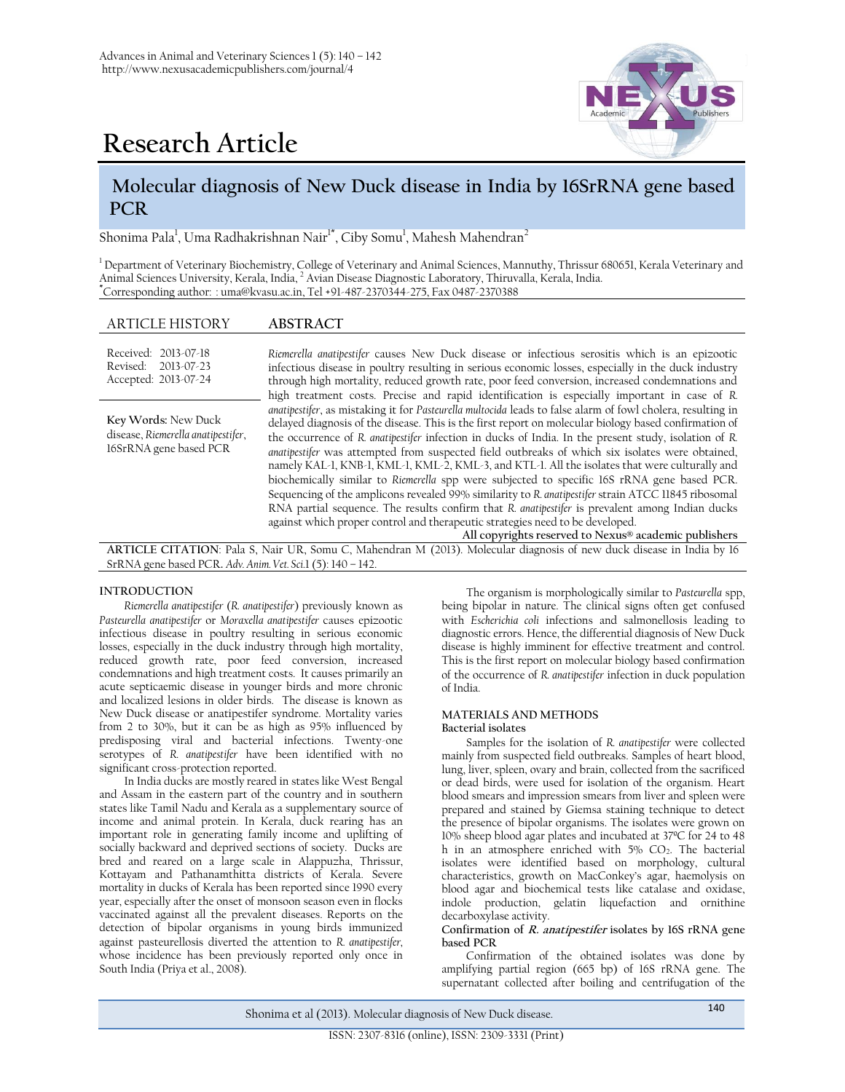

# **Research Article**

# **Molecular diagnosis of New Duck disease in India by 16SrRNA gene based PCR**

Shonima Pala<sup>1</sup>, Uma Radhakrishnan Nair<sup>1\*</sup>, Ciby Somu<sup>1</sup>, Mahesh Mahendran<sup>2</sup>

<sup>1</sup> Department of Veterinary Biochemistry, College of Veterinary and Animal Sciences, Mannuthy, Thrissur 680651, Kerala Veterinary and Animal Sciences University, Kerala, India, <sup>2</sup> Avian Disease Diagnostic Laboratory, Thiruvalla, Kerala, India. **\***Corresponding author: [: uma@kvasu.ac.in,](mailto:uma@kvasu.ac.in) Tel +91-487-2370344-275, Fax 0487-2370388

# ARTICLE HISTORY **ABSTRACT**

| Received: 2013-07-18<br>Revised: 2013-07-23<br>Accepted: 2013-07-24                 | Riemerella anatipestifer causes New Duck disease or infectious serositis which is an epizootic<br>infectious disease in poultry resulting in serious economic losses, especially in the duck industry<br>through high mortality, reduced growth rate, poor feed conversion, increased condemnations and<br>high treatment costs. Precise and rapid identification is especially important in case of R.<br>anatipestifer, as mistaking it for Pasteurella multocida leads to false alarm of fowl cholera, resulting in<br>delayed diagnosis of the disease. This is the first report on molecular biology based confirmation of<br>the occurrence of R. anatipestifer infection in ducks of India. In the present study, isolation of R.<br>anatipestifer was attempted from suspected field outbreaks of which six isolates were obtained,<br>namely KAL-1, KNB-1, KML-1, KML-2, KML-3, and KTL-1. All the isolates that were culturally and<br>biochemically similar to Riemerella spp were subjected to specific 16S rRNA gene based PCR.<br>Sequencing of the amplicons revealed 99% similarity to R. anatipestifer strain ATCC 11845 ribosomal<br>RNA partial sequence. The results confirm that R. anatipestifer is prevalent among Indian ducks<br>against which proper control and therapeutic strategies need to be developed.<br>All copyrights reserved to Nexus® academic publishers |
|-------------------------------------------------------------------------------------|--------------------------------------------------------------------------------------------------------------------------------------------------------------------------------------------------------------------------------------------------------------------------------------------------------------------------------------------------------------------------------------------------------------------------------------------------------------------------------------------------------------------------------------------------------------------------------------------------------------------------------------------------------------------------------------------------------------------------------------------------------------------------------------------------------------------------------------------------------------------------------------------------------------------------------------------------------------------------------------------------------------------------------------------------------------------------------------------------------------------------------------------------------------------------------------------------------------------------------------------------------------------------------------------------------------------------------------------------------------------------------------------------|
| Key Words: New Duck<br>disease, Riemerella anatipestifer,<br>16SrRNA gene based PCR |                                                                                                                                                                                                                                                                                                                                                                                                                                                                                                                                                                                                                                                                                                                                                                                                                                                                                                                                                                                                                                                                                                                                                                                                                                                                                                                                                                                                  |

**ARTICLE CITATION**: Pala S, Nair UR, Somu C, Mahendran M (2013). Molecular diagnosis of new duck disease in India by 16 SrRNA gene based PCR**.** *Adv. Anim. Vet. Sci.*1 (5): 140 – 142.

### **INTRODUCTION**

*Riemerella anatipestifer* (*R. anatipestifer*) previously known as *Pasteurella anatipestifer* or *Moraxella anatipestifer* causes epizootic infectious disease in poultry resulting in serious economic losses, especially in the duck industry through high mortality, reduced growth rate, poor feed conversion, increased condemnations and high treatment costs. It causes primarily an acute septicaemic disease in younger birds and more chronic and localized lesions in older birds. The disease is known as New Duck disease or anatipestifer syndrome. Mortality varies from 2 to 30%, but it can be as high as 95% influenced by predisposing viral and bacterial infections. Twenty-one serotypes of *R. anatipestifer* have been identified with no significant cross-protection reported.

In India ducks are mostly reared in states like West Bengal and Assam in the eastern part of the country and in southern states like Tamil Nadu and Kerala as a supplementary source of income and animal protein. In Kerala, duck rearing has an important role in generating family income and uplifting of socially backward and deprived sections of society. Ducks are bred and reared on a large scale in Alappuzha, Thrissur, Kottayam and Pathanamthitta districts of Kerala. Severe mortality in ducks of Kerala has been reported since 1990 every year, especially after the onset of monsoon season even in flocks vaccinated against all the prevalent diseases. Reports on the detection of bipolar organisms in young birds immunized against pasteurellosis diverted the attention to *R. anatipestifer,*  whose incidence has been previously reported only once in South India (Priya et al., 2008).

The organism is morphologically similar to *Pasteurella* spp, being bipolar in nature. The clinical signs often get confused with *Escherichia coli* infections and salmonellosis leading to diagnostic errors. Hence, the differential diagnosis of New Duck disease is highly imminent for effective treatment and control. This is the first report on molecular biology based confirmation of the occurrence of *R. anatipestifer* infection in duck population of India.

# **MATERIALS AND METHODS**

# **Bacterial isolates**

Samples for the isolation of *R. anatipestifer* were collected mainly from suspected field outbreaks. Samples of heart blood, lung, liver, spleen, ovary and brain, collected from the sacrificed or dead birds, were used for isolation of the organism. Heart blood smears and impression smears from liver and spleen were prepared and stained by Giemsa staining technique to detect the presence of bipolar organisms. The isolates were grown on 10% sheep blood agar plates and incubated at 37ºC for 24 to 48 h in an atmosphere enriched with 5% CO<sub>2</sub>. The bacterial isolates were identified based on morphology, cultural characteristics, growth on MacConkey's agar, haemolysis on blood agar and biochemical tests like catalase and oxidase, indole production, gelatin liquefaction and ornithine decarboxylase activity.

**Confirmation of R. anatipestifer isolates by 16S rRNA gene based PCR**

Confirmation of the obtained isolates was done by amplifying partial region (665 bp) of 16S rRNA gene. The supernatant collected after boiling and centrifugation of the

Shonima et al (2013). Molecular diagnosis of New Duck disease. 140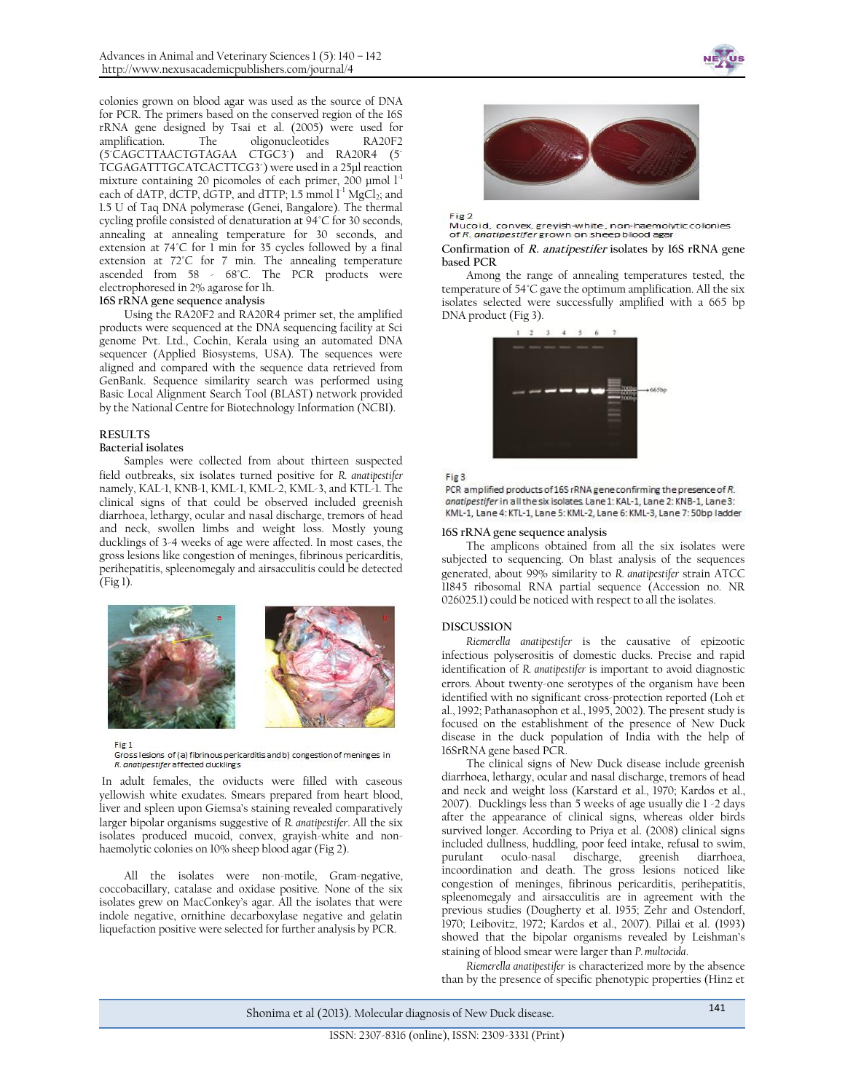colonies grown on blood agar was used as the source of DNA for PCR. The primers based on the conserved region of the 16S rRNA gene designed by Tsai et al. (2005) were used for amplification. The oligonucleotides RA20F2 (5´CAGCTTAACTGTAGAA CTGC3´) and RA20R4 (5´ TCGAGATTTGCATCACTTCG3´) were used in a 25µl reaction mixture containing 20 picomoles of each primer, 200 µmol  $l<sup>-1</sup>$ each of dATP, dCTP, dGTP, and dTTP;  $1.5 \text{ mmol } 1^1 \text{ MgCl}_2$ ; and 1.5 U of Taq DNA polymerase (Genei, Bangalore). The thermal cycling profile consisted of denaturation at 94°C for 30 seconds, annealing at annealing temperature for 30 seconds, and extension at 74°C for 1 min for 35 cycles followed by a final extension at 72°C for 7 min. The annealing temperature ascended from 58 - 68°C. The PCR products were electrophoresed in 2% agarose for 1h.

# **16S rRNA gene sequence analysis**

Using the RA20F2 and RA20R4 primer set, the amplified products were sequenced at the DNA sequencing facility at Sci genome Pvt. Ltd., Cochin, Kerala using an automated DNA sequencer (Applied Biosystems, USA). The sequences were aligned and compared with the sequence data retrieved from GenBank. Sequence similarity search was performed using Basic Local Alignment Search Tool (BLAST) network provided by the National Centre for Biotechnology Information (NCBI).

#### **RESULTS**

#### **Bacterial isolates**

Samples were collected from about thirteen suspected field outbreaks, six isolates turned positive for *R. anatipestifer* namely, KAL-1, KNB-1, KML-1, KML-2, KML-3, and KTL-1. The clinical signs of that could be observed included greenish diarrhoea, lethargy, ocular and nasal discharge, tremors of head and neck, swollen limbs and weight loss. Mostly young ducklings of 3-4 weeks of age were affected. In most cases, the gross lesions like congestion of meninges, fibrinous pericarditis, perihepatitis, spleenomegaly and airsacculitis could be detected (Fig 1).



Fig<sub>1</sub>

Gross lesions of (a) fibrinous pericarditis and b) congestion of meninges in R. anatipestifer affected ducklings

In adult females, the oviducts were filled with caseous yellowish white exudates. Smears prepared from heart blood, liver and spleen upon Giemsa's staining revealed comparatively larger bipolar organisms suggestive of *R. anatipestifer*. All the six isolates produced mucoid, convex, grayish-white and nonhaemolytic colonies on 10% sheep blood agar (Fig 2).

All the isolates were non-motile, Gram-negative, coccobacillary, catalase and oxidase positive. None of the six isolates grew on MacConkey's agar. All the isolates that were indole negative, ornithine decarboxylase negative and gelatin liquefaction positive were selected for further analysis by PCR.





Fig<sub>2</sub> .<br>Mucoid, convex, greyish-white, non-haemolytic colonies of R. anatipestifer grown on sheep blood aga

#### **Confirmation of R. anatipestifer isolates by 16S rRNA gene based PCR**

Among the range of annealing temperatures tested, the temperature of 54°C gave the optimum amplification. All the six isolates selected were successfully amplified with a 665 bp DNA product (Fig 3).





PCR amplified products of 16S rRNA gene confirming the presence of R. anatipestifer in all the six isolates Lane 1: KAL-1, Lane 2: KNB-1, Lane 3: KML-1, Lane 4: KTL-1, Lane 5: KML-2, Lane 6: KML-3, Lane 7: 50bp ladder

#### **16S rRNA gene sequence analysis**

The amplicons obtained from all the six isolates were subjected to sequencing. On blast analysis of the sequences generated, about 99% similarity to *R. anatipestifer* strain ATCC 11845 ribosomal RNA partial sequence (Accession no. NR 026025.1) could be noticed with respect to all the isolates.

#### **DISCUSSION**

*Riemerella anatipestifer* is the causative of epizootic infectious polyserositis of domestic ducks. Precise and rapid identification of *R. anatipestifer* is important to avoid diagnostic errors*.* About twenty-one serotypes of the organism have been identified with no significant cross-protection reported (Loh et al., 1992; Pathanasophon et al., 1995, 2002). The present study is focused on the establishment of the presence of New Duck disease in the duck population of India with the help of 16SrRNA gene based PCR.

The clinical signs of New Duck disease include greenish diarrhoea, lethargy, ocular and nasal discharge, tremors of head and neck and weight loss (Karstard et al., 1970; Kardos et al., 2007). Ducklings less than 5 weeks of age usually die 1 -2 days after the appearance of clinical signs, whereas older birds survived longer. According to Priya et al. (2008) clinical signs included dullness, huddling, poor feed intake, refusal to swim, purulant oculo-nasal discharge, greenish diarrhoea, incoordination and death. The gross lesions noticed like congestion of meninges, fibrinous pericarditis, perihepatitis, spleenomegaly and airsacculitis are in agreement with the previous studies (Dougherty et al. 1955; Zehr and Ostendorf, 1970; Leibovitz, 1972; Kardos et al., 2007). Pillai et al. (1993) showed that the bipolar organisms revealed by Leishman's staining of blood smear were larger than *P. multocida*.

*Riemerella anatipestifer* is characterized more by the absence than by the presence of specific phenotypic properties (Hinz et

Shonima et al (2013). Molecular diagnosis of New Duck disease. <sup>141</sup>